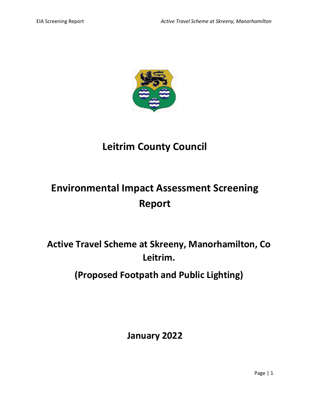

# **Leitrim County Council**

# **Environmental Impact Assessment Screening Report**

**Active Travel Scheme at Skreeny, Manorhamilton, Co Leitrim.**

**(Proposed Footpath and Public Lighting)**

**January 2022**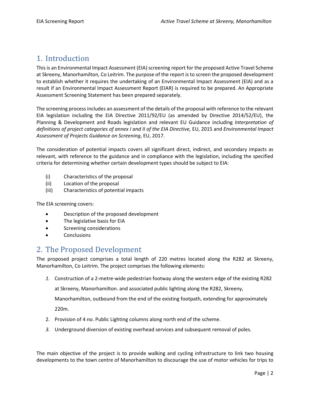## 1. Introduction

This is an Environmental Impact Assessment (EIA) screening report for the proposed Active Travel Scheme at Skreeny, Manorhamilton, Co Leitrim. The purpose of the report is to screen the proposed development to establish whether it requires the undertaking of an Environmental Impact Assessment (EIA) and as a result if an Environmental Impact Assessment Report (EIAR) is required to be prepared. An Appropriate Assessment Screening Statement has been prepared separately.

The screening process includes an assessment of the details of the proposal with reference to the relevant EIA legislation including the EIA Directive 2011/92/EU (as amended by Directive 2014/52/EU), the Planning & Development and Roads legislation and relevant EU Guidance including *Interpretation of definitions of project categories of annex I and II of the EIA Directive,* EU, 2015 and *Environmental Impact Assessment of Projects Guidance on Screening*, EU, 2017.

The consideration of potential impacts covers all significant direct, indirect, and secondary impacts as relevant, with reference to the guidance and in compliance with the legislation, including the specified criteria for determining whether certain development types should be subject to EIA:

- (i) Characteristics of the proposal
- (ii) Location of the proposal
- (iii) Characteristics of potential impacts

The EIA screening covers:

- Description of the proposed development
- The legislative basis for EIA
- Screening considerations
- **Conclusions**

#### 2. The Proposed Development

The proposed project comprises a total length of 220 metres located along the R282 at Skreeny, Manorhamilton, Co Leitrim. The project comprises the following elements:

*1.* Construction of a 2-metre-wide pedestrian footway along the western edge of the existing R282

at Skreeny, Manorhamilton. and associated public lighting along the R282, Skreeny,

Manorhamilton, outbound from the end of the existing footpath, extending for approximately

220m.

- 2. Provision of 4 no. Public Lighting columns along north end of the scheme.
- *3.* Underground diversion of existing overhead services and subsequent removal of poles.

The main objective of the project is to provide walking and cycling infrastructure to link two housing developments to the town centre of Manorhamilton to discourage the use of motor vehicles for trips to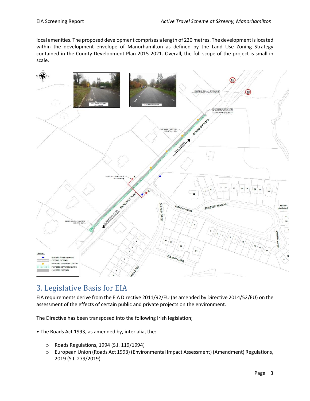local amenities. The proposed development comprises a length of 220 metres. The development is located within the development envelope of Manorhamilton as defined by the Land Use Zoning Strategy contained in the County Development Plan 2015-2021. Overall, the full scope of the project is small in scale.



## 3. Legislative Basis for EIA

EIA requirements derive from the EIA Directive 2011/92/EU (as amended by Directive 2014/52/EU) on the assessment of the effects of certain public and private projects on the environment.

The Directive has been transposed into the following Irish legislation;

- The Roads Act 1993, as amended by, inter alia, the:
	- o Roads Regulations, 1994 (S.I. 119/1994)
	- o European Union (Roads Act 1993) (Environmental Impact Assessment) (Amendment) Regulations, 2019 (S.I. 279/2019)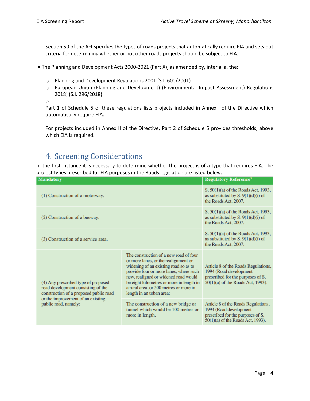Section 50 of the Act specifies the types of roads projects that automatically require EIA and sets out criteria for determining whether or not other roads projects should be subject to EIA.

- The Planning and Development Acts 2000-2021 (Part X), as amended by, inter alia, the:
	- o Planning and Development Regulations 2001 (S.I. 600/2001)
	- o European Union (Planning and Development) (Environmental Impact Assessment) Regulations 2018) (S.I. 296/2018)

o

Part 1 of Schedule 5 of these regulations lists projects included in Annex I of the Directive which automatically require EIA.

For projects included in Annex II of the Directive, Part 2 of Schedule 5 provides thresholds, above which EIA is required.

### 4. Screening Considerations

In the first instance it is necessary to determine whether the project is of a type that requires EIA. The project types prescribed for EIA purposes in the Roads legislation are listed below.

| <b>Mandatory</b>                                                                                                                                                                 |                                                                                                                                                                                                                                                                                                                             | <b>Regulatory Reference<sup>3</sup></b>                                                                                                 |
|----------------------------------------------------------------------------------------------------------------------------------------------------------------------------------|-----------------------------------------------------------------------------------------------------------------------------------------------------------------------------------------------------------------------------------------------------------------------------------------------------------------------------|-----------------------------------------------------------------------------------------------------------------------------------------|
| (1) Construction of a motorway.                                                                                                                                                  |                                                                                                                                                                                                                                                                                                                             | S. 50(1)(a) of the Roads Act, 1993,<br>as substituted by $S. 9(1)(d)(i)$ of<br>the Roads Act, 2007.                                     |
| (2) Construction of a busway.                                                                                                                                                    |                                                                                                                                                                                                                                                                                                                             | $S. 50(1)(a)$ of the Roads Act, 1993,<br>as substituted by $S. 9(1)(d)(i)$ of<br>the Roads Act, 2007.                                   |
| (3) Construction of a service area.                                                                                                                                              |                                                                                                                                                                                                                                                                                                                             | S. 50(1)(a) of the Roads Act, 1993,<br>as substituted by $S. 9(1)(d)(i)$ of<br>the Roads Act, 2007.                                     |
| (4) Any prescribed type of proposed<br>road development consisting of the<br>construction of a proposed public road<br>or the improvement of an existing<br>public road, namely: | The construction of a new road of four<br>or more lanes, or the realignment or<br>widening of an existing road so as to<br>provide four or more lanes, where such<br>new, realigned or widened road would<br>be eight kilometres or more in length in<br>a rural area, or 500 metres or more in<br>length in an urban area; | Article 8 of the Roads Regulations,<br>1994 (Road development<br>prescribed for the purposes of S.<br>50(1)(a) of the Roads Act, 1993). |
|                                                                                                                                                                                  | The construction of a new bridge or<br>tunnel which would be 100 metres or<br>more in length.                                                                                                                                                                                                                               | Article 8 of the Roads Regulations,<br>1994 (Road development<br>prescribed for the purposes of S.<br>50(1)(a) of the Roads Act, 1993). |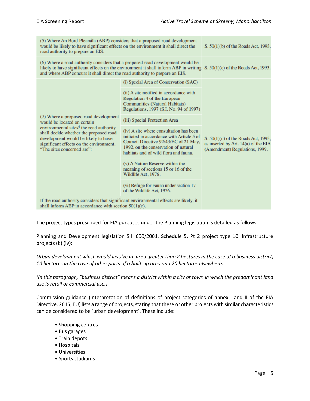| (5) Where An Bord Pleanála (ABP) considers that a proposed road development<br>would be likely to have significant effects on the environment it shall direct the<br>road authority to prepare an EIS.                                                                                      | S. 50(1)(b) of the Roads Act, 1993.                                                                                                                                                                            |                                                                                                               |  |
|---------------------------------------------------------------------------------------------------------------------------------------------------------------------------------------------------------------------------------------------------------------------------------------------|----------------------------------------------------------------------------------------------------------------------------------------------------------------------------------------------------------------|---------------------------------------------------------------------------------------------------------------|--|
| (6) Where a road authority considers that a proposed road development would be<br>likely to have significant effects on the environment it shall inform ABP in writing $S. 50(1)(c)$ of the Roads Act, 1993.<br>and where ABP concurs it shall direct the road authority to prepare an EIS. |                                                                                                                                                                                                                |                                                                                                               |  |
| (i) Special Area of Conservation (SAC)                                                                                                                                                                                                                                                      |                                                                                                                                                                                                                |                                                                                                               |  |
| (7) Where a proposed road development<br>would be located on certain<br>environmental sites <sup>4</sup> the road authority<br>shall decide whether the proposed road<br>development would be likely to have<br>significant effects on the environment.<br>"The sites concerned are":       | (ii) A site notified in accordance with<br>Regulation 4 of the European<br><b>Communities (Natural Habitats)</b><br>Regulations, 1997 (S.I. No. 94 of 1997)                                                    |                                                                                                               |  |
|                                                                                                                                                                                                                                                                                             | (iii) Special Protection Area                                                                                                                                                                                  |                                                                                                               |  |
|                                                                                                                                                                                                                                                                                             | (iv) A site where consultation has been<br>initiated in accordance with Article 5 of<br>Council Directive 92/43/EC of 21 May,<br>1992, on the conservation of natural<br>habitats and of wild flora and fauna. | S. 50(1)(d) of the Roads Act, 1993,<br>as inserted by Art. 14(a) of the EIA<br>(Amendment) Regulations, 1999. |  |
|                                                                                                                                                                                                                                                                                             | (v) A Nature Reserve within the<br>meaning of sections 15 or 16 of the<br>Wildlife Act, 1976.                                                                                                                  |                                                                                                               |  |
|                                                                                                                                                                                                                                                                                             | (vi) Refuge for Fauna under section 17<br>of the Wildlife Act, 1976.                                                                                                                                           |                                                                                                               |  |
| If the road authority considers that significant environmental effects are likely, it<br>shall inform ABP in accordance with section $50(1)(c)$ .                                                                                                                                           |                                                                                                                                                                                                                |                                                                                                               |  |

The project types prescribed for EIA purposes under the Planning legislation is detailed as follows:

Planning and Development legislation S.I. 600/2001, Schedule 5, Pt 2 project type 10. Infrastructure projects (b) (iv):

*Urban development which would involve an area greater than 2 hectares in the case of a business district, 10 hectares in the case of other parts of a built-up area and 20 hectares elsewhere.* 

*(In this paragraph, "business district" means a district within a city or town in which the predominant land use is retail or commercial use.)*

Commission guidance (Interpretation of definitions of project categories of annex I and II of the EIA Directive, 2015, EU) lists a range of projects, stating that these or other projects with similar characteristics can be considered to be 'urban development'. These include:

- Shopping centres
- Bus garages
- Train depots
- Hospitals
- Universities
- Sports stadiums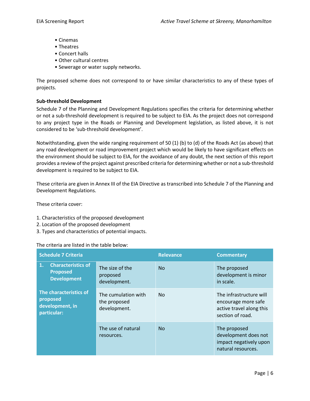- Cinemas
- Theatres
- Concert halls
- Other cultural centres
- Sewerage or water supply networks.

The proposed scheme does not correspond to or have similar characteristics to any of these types of projects.

#### **Sub-threshold Development**

Schedule 7 of the Planning and Development Regulations specifies the criteria for determining whether or not a sub-threshold development is required to be subject to EIA. As the project does not correspond to any project type in the Roads or Planning and Development legislation, as listed above, it is not considered to be 'sub-threshold development'.

Notwithstanding, given the wide ranging requirement of 50 (1) (b) to (d) of the Roads Act (as above) that any road development or road improvement project which would be likely to have significant effects on the environment should be subject to EIA, for the avoidance of any doubt, the next section of this report provides a review of the project against prescribed criteria for determining whether or not a sub-threshold development is required to be subject to EIA.

These criteria are given in Annex III of the EIA Directive as transcribed into Schedule 7 of the Planning and Development Regulations.

These criteria cover:

- 1. Characteristics of the proposed development
- 2. Location of the proposed development
- 3. Types and characteristics of potential impacts.

#### The criteria are listed in the table below:

| <b>Schedule 7 Criteria</b>                                               |                                                     | <b>Relevance</b> | <b>Commentary</b>                                                                              |
|--------------------------------------------------------------------------|-----------------------------------------------------|------------------|------------------------------------------------------------------------------------------------|
| <b>Characteristics of</b><br>1.<br><b>Proposed</b><br><b>Development</b> | The size of the<br>proposed<br>development.         | N <sub>0</sub>   | The proposed<br>development is minor<br>in scale.                                              |
| The characteristics of<br>proposed<br>development, in<br>particular:     | The cumulation with<br>the proposed<br>development. | N <sub>0</sub>   | The infrastructure will<br>encourage more safe<br>active travel along this<br>section of road. |
|                                                                          | The use of natural<br>resources.                    | <b>No</b>        | The proposed<br>development does not<br>impact negatively upon<br>natural resources.           |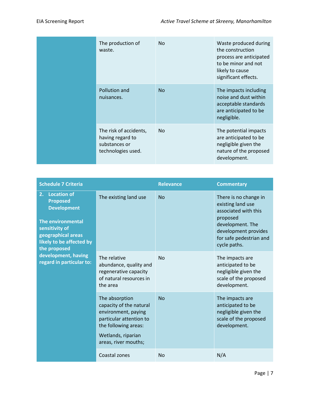| The production of<br>waste.                                                       | No.       | Waste produced during<br>the construction<br>process are anticipated<br>to be minor and not<br>likely to cause<br>significant effects. |
|-----------------------------------------------------------------------------------|-----------|----------------------------------------------------------------------------------------------------------------------------------------|
| Pollution and<br>nuisances.                                                       | <b>No</b> | The impacts including<br>noise and dust within<br>acceptable standards<br>are anticipated to be<br>negligible.                         |
| The risk of accidents,<br>having regard to<br>substances or<br>technologies used. | No.       | The potential impacts<br>are anticipated to be<br>negligible given the<br>nature of the proposed<br>development.                       |

| <b>Schedule 7 Criteria</b>                                                                                                                                                        |                                                                                                                                                                   | <b>Relevance</b> | <b>Commentary</b>                                                                                                                                                     |
|-----------------------------------------------------------------------------------------------------------------------------------------------------------------------------------|-------------------------------------------------------------------------------------------------------------------------------------------------------------------|------------------|-----------------------------------------------------------------------------------------------------------------------------------------------------------------------|
| <b>Location of</b><br>2.<br><b>Proposed</b><br><b>Development</b><br><b>The environmental</b><br>sensitivity of<br>geographical areas<br>likely to be affected by<br>the proposed | The existing land use                                                                                                                                             | No               | There is no change in<br>existing land use<br>associated with this<br>proposed<br>development. The<br>development provides<br>for safe pedestrian and<br>cycle paths. |
| development, having<br>regard in particular to:                                                                                                                                   | The relative<br>abundance, quality and<br>regenerative capacity<br>of natural resources in<br>the area                                                            | <b>No</b>        | The impacts are<br>anticipated to be<br>negligible given the<br>scale of the proposed<br>development.                                                                 |
|                                                                                                                                                                                   | The absorption<br>capacity of the natural<br>environment, paying<br>particular attention to<br>the following areas:<br>Wetlands, riparian<br>areas, river mouths; | <b>No</b>        | The impacts are<br>anticipated to be<br>negligible given the<br>scale of the proposed<br>development.                                                                 |
|                                                                                                                                                                                   | Coastal zones                                                                                                                                                     | <b>No</b>        | N/A                                                                                                                                                                   |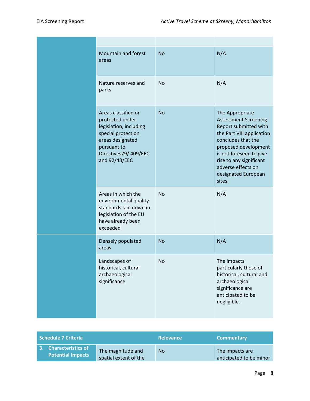| Mountain and forest<br>areas                                                                                                                                       | <b>No</b> | N/A                                                                                                                                                                                                                                                             |
|--------------------------------------------------------------------------------------------------------------------------------------------------------------------|-----------|-----------------------------------------------------------------------------------------------------------------------------------------------------------------------------------------------------------------------------------------------------------------|
| Nature reserves and<br>parks                                                                                                                                       | <b>No</b> | N/A                                                                                                                                                                                                                                                             |
| Areas classified or<br>protected under<br>legislation, including<br>special protection<br>areas designated<br>pursuant to<br>Directives79/409/EEC<br>and 92/43/EEC | <b>No</b> | The Appropriate<br><b>Assessment Screening</b><br>Report submitted with<br>the Part VIII application<br>concludes that the<br>proposed development<br>is not foreseen to give<br>rise to any significant<br>adverse effects on<br>designated European<br>sites. |
| Areas in which the<br>environmental quality<br>standards laid down in<br>legislation of the EU<br>have already been<br>exceeded                                    | <b>No</b> | N/A                                                                                                                                                                                                                                                             |
| Densely populated<br>areas                                                                                                                                         | <b>No</b> | N/A                                                                                                                                                                                                                                                             |
| Landscapes of<br>historical, cultural<br>archaeological<br>significance                                                                                            | <b>No</b> | The impacts<br>particularly those of<br>historical, cultural and<br>archaeological<br>significance are<br>anticipated to be<br>negligible.                                                                                                                      |

| Schedule 7 Criteria                               |                                            | <b>Relevance</b> | <b>Commentary</b>                          |
|---------------------------------------------------|--------------------------------------------|------------------|--------------------------------------------|
| 3. Characteristics of<br><b>Potential Impacts</b> | The magnitude and<br>spatial extent of the | No               | The impacts are<br>anticipated to be minor |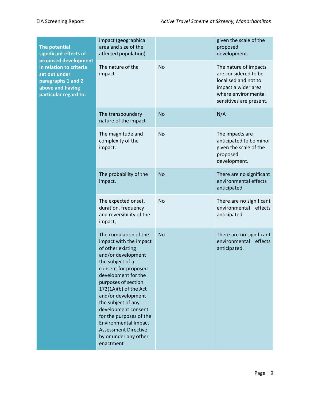| The potential<br>significant effects of<br>proposed development<br>in relation to criteria<br>set out under<br>paragraphs 1 and 2<br>above and having<br>particular regard to: | impact (geographical<br>area and size of the<br>affected population)                                                                                                                                                                                                                                                                                                                                            |           | given the scale of the<br>proposed<br>development.                                                                                             |
|--------------------------------------------------------------------------------------------------------------------------------------------------------------------------------|-----------------------------------------------------------------------------------------------------------------------------------------------------------------------------------------------------------------------------------------------------------------------------------------------------------------------------------------------------------------------------------------------------------------|-----------|------------------------------------------------------------------------------------------------------------------------------------------------|
|                                                                                                                                                                                | The nature of the<br>impact                                                                                                                                                                                                                                                                                                                                                                                     | <b>No</b> | The nature of impacts<br>are considered to be<br>localised and not to<br>impact a wider area<br>where environmental<br>sensitives are present. |
|                                                                                                                                                                                | The transboundary<br>nature of the impact                                                                                                                                                                                                                                                                                                                                                                       | <b>No</b> | N/A                                                                                                                                            |
|                                                                                                                                                                                | The magnitude and<br>complexity of the<br>impact.                                                                                                                                                                                                                                                                                                                                                               | <b>No</b> | The impacts are<br>anticipated to be minor<br>given the scale of the<br>proposed<br>development.                                               |
|                                                                                                                                                                                | The probability of the<br>impact.                                                                                                                                                                                                                                                                                                                                                                               | <b>No</b> | There are no significant<br>environmental effects<br>anticipated                                                                               |
|                                                                                                                                                                                | The expected onset,<br>duration, frequency<br>and reversibility of the<br>impact,                                                                                                                                                                                                                                                                                                                               | <b>No</b> | There are no significant<br>environmental effects<br>anticipated                                                                               |
|                                                                                                                                                                                | The cumulation of the<br>impact with the impact<br>of other existing<br>and/or development<br>the subject of a<br>consent for proposed<br>development for the<br>purposes of section<br>172(1A)(b) of the Act<br>and/or development<br>the subject of any<br>development consent<br>for the purposes of the<br><b>Environmental Impact</b><br><b>Assessment Directive</b><br>by or under any other<br>enactment | <b>No</b> | There are no significant<br>environmental effects<br>anticipated.                                                                              |